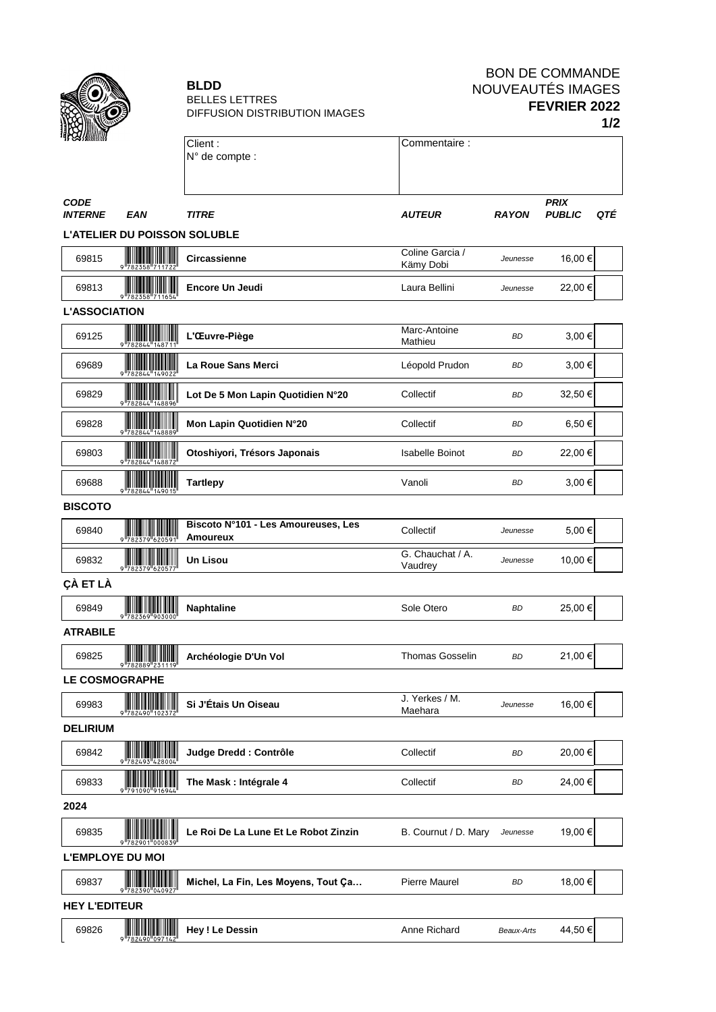

#### **BLDD** BELLES LETTRES DIFFUSION DISTRIBUTION IMAGES

# BON DE COMMANDE NOUVEAUTÉS IMAGES **FEVRIER 2022 1/2**

|                               |                                               |                                                 |                              |              |                              | . <i>. .</i> |
|-------------------------------|-----------------------------------------------|-------------------------------------------------|------------------------------|--------------|------------------------------|--------------|
|                               |                                               | Client:                                         | Commentaire:                 |              |                              |              |
|                               |                                               | N° de compte :                                  |                              |              |                              |              |
|                               |                                               |                                                 |                              |              |                              |              |
| <b>CODE</b><br><b>INTERNE</b> | EAN                                           | <b>TITRE</b>                                    | <b>AUTEUR</b>                | <b>RAYON</b> | <b>PRIX</b><br><b>PUBLIC</b> | QTÉ          |
|                               | <b>L'ATELIER DU POISSON SOLUBLE</b>           |                                                 |                              |              |                              |              |
| 69815                         | $\overline{\mathbf{r}}$                       | <b>Circassienne</b>                             | Coline Garcia /<br>Kämy Dobi | Jeunesse     | 16,00 €                      |              |
| 69813                         |                                               | Encore Un Jeudi                                 | Laura Bellini                | Jeunesse     | 22,00 €                      |              |
| <b>L'ASSOCIATION</b>          |                                               |                                                 |                              |              |                              |              |
| 69125                         | <b>TELEVISION</b>                             | L'Œuvre-Piège                                   | Marc-Antoine<br>Mathieu      | <b>BD</b>    | 3,00 €                       |              |
| 69689                         |                                               | La Roue Sans Merci                              | Léopold Prudon               | BD           | 3,00 €                       |              |
| 69829                         |                                               | Lot De 5 Mon Lapin Quotidien N°20               | Collectif                    | <b>BD</b>    | 32,50€                       |              |
| 69828                         | $\frac{1}{2}$                                 | Mon Lapin Quotidien N°20                        | Collectif                    | <b>BD</b>    | 6,50€                        |              |
| 69803                         | <b>TELEVISION AND ALL PROPERTY</b>            | Otoshiyori, Trésors Japonais                    | Isabelle Boinot              | ВD           | 22,00€                       |              |
| 69688                         | $782844$ $149015$                             | <b>Tartlepy</b>                                 | Vanoli                       | <b>BD</b>    | 3,00 €                       |              |
| <b>BISCOTO</b>                |                                               |                                                 |                              |              |                              |              |
| 69840                         | <u> HIII III III IIII III</u>                 | Biscoto N°101 - Les Amoureuses, Les<br>Amoureux | Collectif                    | Jeunesse     | 5,00€                        |              |
| 69832                         | ║║                                            | Un Lisou                                        | G. Chauchat / A.<br>Vaudrey  | Jeunesse     | 10,00 €                      |              |
| ÇÀ ET LÀ                      |                                               |                                                 |                              |              |                              |              |
| 69849                         | <u> Hilliam III a shekara t</u>               | Naphtaline                                      | Sole Otero                   | <b>BD</b>    | 25,00€                       |              |
| <b>ATRABILE</b>               |                                               |                                                 |                              |              |                              |              |
| 69825                         | <b>The Communist Communist Pro</b><br>9782889 | Archéologie D'Un Vol                            | <b>Thomas Gosselin</b>       | <b>BD</b>    | 21,00€                       |              |
| <b>LE COSMOGRAPHE</b>         |                                               |                                                 |                              |              |                              |              |
| 69983                         |                                               | Si J'Étais Un Oiseau                            | J. Yerkes / M.<br>Maehara    | Jeunesse     | 16,00€                       |              |
| <b>DELIRIUM</b>               |                                               |                                                 |                              |              |                              |              |
| 69842                         | <u>HIII HIII</u>                              | Judge Dredd : Contrôle                          | Collectif                    | BD           | 20,00€                       |              |
| 69833                         |                                               | The Mask : Intégrale 4                          | Collectif                    | BD           | 24,00 €                      |              |
| 2024                          |                                               |                                                 |                              |              |                              |              |
| 69835                         |                                               | Le Roi De La Lune Et Le Robot Zinzin            | B. Cournut / D. Mary         | Jeunesse     | 19,00 €                      |              |
| <b>L'EMPLOYE DU MOI</b>       |                                               |                                                 |                              |              |                              |              |
| 69837                         |                                               | Michel, La Fin, Les Moyens, Tout Ça             | <b>Pierre Maurel</b>         | BD           | 18,00 €                      |              |
| <b>HEY L'EDITEUR</b>          |                                               |                                                 |                              |              |                              |              |
| 69826                         | <b>The Common</b>                             | <b>Hey! Le Dessin</b>                           | Anne Richard                 | Beaux-Arts   | 44,50€                       |              |